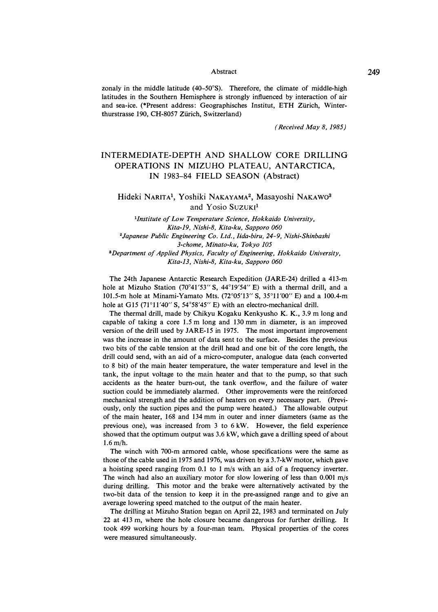#### Abstract

zonaly in the middle latitude (40-50° S). Therefore, the climate of middle-high latitudes in the Southern Hemisphere is strongly influenced by interaction of air and sea-ice. (\*Present address: Geographisches Institut, ETH Zürich, Winterthurstrasse 190, CH-8057 Zürich, Switzerland)

*( Received May 8, 1985)* 

# INTERMEDIATE-DEPTH AND SHALLOW CORE DRILLING OPERATIONS IN MIZUHO PLATEAU, ANTARCTICA, IN 1983-84 FIELD SEASON (Abstract)

## **Hideki NARITA<sup>1</sup> , Yoshiki NAKAYAMA<sup>2</sup> , Masayoshi NAKAW0<sup>3</sup>** and Yosio Suzuk<sup>1</sup>

*<sup>1</sup>Institute of Low Temperature Science, Hokkaido University, Kita-19, Nishi-8, Kita-ku, Sapporo 060 <sup>2</sup>Japanese Public Engineering Co. Ltd., lida-biru, 24-9, Nishi-Shinbashi 3-chome, Minato-ku, Tokyo 105*  <sup>3</sup>*Department of Applied Physics, Faculty of Engineering, Hokkaido University, Kita-13, Nishi-8, Kita-ku, Sapporo 060* 

The 24th Japanese Antarctic Research Expedition (JARE-24) drilled a 413-m hole at Mizuho Station (70°41'53" S, 44°19'54" E) with a thermal drill, and a 101.5-m hole at Minami-Yamato Mts. (72° 05'13" S, 35° 11'00" E) and a 100.4-m hole at G15 (71°11'40" S, 54°58'45" E) with an electro-mechanical drill.

The thermal drill, made by Chikyu Kogaku Kenkyusho K. K., 3.9 m long and capable of taking a core 1.5 m long and 130 mm in diameter, is an improved version of the drill used by JARE-15 in 1975. The most important improvement was the increase in the amount of data sent to the surface. Besides the previous two bits of the cable tension at the drill head and one bit of the core length, the drill could send, with an aid of a micro-computer, analogue data (each converted to 8 bit) of the main heater temperature, the water temperature and level in the tank, the input voltage to the main heater and that to the pump, so that such accidents as the heater burn-out, the tank overflow, and the failure of water suction could be immediately alarmed. Other improvements were the reinforced mechanical strength and the addition of heaters on every necessary part. (Previously, only the suction pipes and the pump were heated.) The allowable output of the main heater, 168 and 134 mm in outer and inner diameters (same as the previous one), was increased from 3 to 6 kW. However, the field experience showed that the optimum output was 3.6 kW, which gave a drilling speed of about 1.6 m/h.

The winch with 700-m armored cable, whose specifications were the same as those of the cable used in 1975 and 1976, was driven by a 3.7-kW motor, which gave a hoisting speed ranging from 0.1 to 1 m/s with an aid of a frequency inverter. The winch had also an auxiliary motor for slow lowering of less than 0.001 m/s during drilling. This motor and the brake were alternatively activated by the two-bit data of the tension to keep it in the pre-assigned range and to give an average lowering speed matched to the output of the main heater.

The drilling at Mizuho Station began on April 22, 1983 and terminated on July 22 at 413 rn, where the hole closure became dangerous for further drilling. It took 499 working hours by a four-man team. Physical properties of the cores were measured simultaneously.